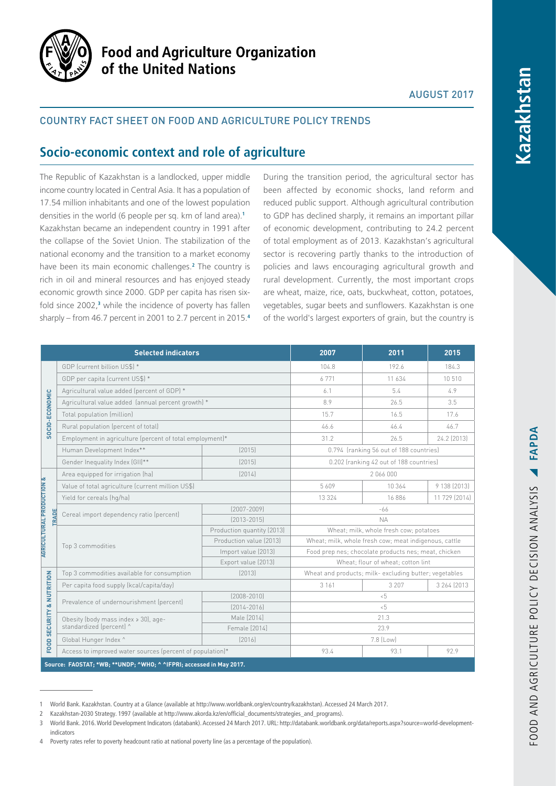

# **Food and Agriculture Organization** of the United Nations

## AUGUST 2017

## Country fact sheet on food and agriculture policy trends

# **Socio-economic context and role of agriculture**

The Republic of Kazakhstan is a landlocked, upper middle income country located in Central Asia. It has a population of 17.54 million inhabitants and one of the lowest population densities in the world (6 people per sq. km of land area).**<sup>1</sup>** Kazakhstan became an independent country in 1991 after the collapse of the Soviet Union. The stabilization of the national economy and the transition to a market economy have been its main economic challenges.**<sup>2</sup>** The country is rich in oil and mineral resources and has enjoyed steady economic growth since 2000. GDP per capita has risen sixfold since 2002,**<sup>3</sup>** while the incidence of poverty has fallen sharply – from 46.7 percent in 2001 to 2.7 percent in 2015.**<sup>4</sup>**

During the transition period, the agricultural sector has been affected by economic shocks, land reform and reduced public support. Although agricultural contribution to GDP has declined sharply, it remains an important pillar of economic development, contributing to 24.2 percent of total employment as of 2013. Kazakhstan's agricultural sector is recovering partly thanks to the introduction of policies and laws encouraging agricultural growth and rural development. Currently, the most important crops are wheat, maize, rice, oats, buckwheat, cotton, potatoes, vegetables, sugar beets and sunflowers. Kazakhstan is one of the world's largest exporters of grain, but the country is

| <b>Selected indicators</b>                                                        |                                                                  |                            | 2007                                                   | 2011    | 2015          |
|-----------------------------------------------------------------------------------|------------------------------------------------------------------|----------------------------|--------------------------------------------------------|---------|---------------|
| SOCIO-ECONOMIC                                                                    | GDP (current billion US\$) *                                     |                            | 104.8                                                  | 192.6   | 184.3         |
|                                                                                   | GDP per capita (current US\$) *                                  |                            | 6771                                                   | 11 634  | 10510         |
|                                                                                   | Agricultural value added (percent of GDP) *                      |                            | 6.1                                                    | 5.4     | 4.9           |
|                                                                                   | Agricultural value added (annual percent growth) *               |                            | 8.9                                                    | 26.5    | 3.5           |
|                                                                                   | Total population (million)                                       |                            | 15.7                                                   | 16.5    | 17.6          |
|                                                                                   | Rural population (percent of total)                              |                            | 46.6                                                   | 46.4    | 46.7          |
|                                                                                   | Employment in agriculture (percent of total employment)*         |                            | 31.2                                                   | 26.5    | 24.2 (2013)   |
|                                                                                   | Human Development Index**                                        | [2015]                     | 0.794 (ranking 56 out of 188 countries)                |         |               |
|                                                                                   | Gender Inequality Index (GII)**                                  | [2015]                     | 0.202 (ranking 42 out of 188 countries)                |         |               |
| <b>AGRICULTURAL PRODUCTION &amp;</b><br><b>TRADE</b><br>FOOD SECURITY & NUTRITION | Area equipped for irrigation (ha)                                | [2014]                     | 2066000                                                |         |               |
|                                                                                   | Value of total agriculture (current million US\$)                |                            | 5609                                                   | 10 364  | 9 138 (2013)  |
|                                                                                   | Yield for cereals (hq/ha)                                        |                            | 13 3 2 4                                               | 16886   | 11 729 (2014) |
|                                                                                   | Cereal import dependency ratio (percent)                         | $[2007 - 2009]$            | $-66$                                                  |         |               |
|                                                                                   |                                                                  | $[2013 - 2015]$            | <b>NA</b>                                              |         |               |
|                                                                                   | Top 3 commodities                                                | Production quantity (2013) | Wheat; milk, whole fresh cow; potatoes                 |         |               |
|                                                                                   |                                                                  | Production value (2013)    | Wheat; milk, whole fresh cow; meat indigenous, cattle  |         |               |
|                                                                                   |                                                                  | Import value (2013)        | Food prep nes; chocolate products nes; meat, chicken   |         |               |
|                                                                                   |                                                                  | Export value (2013)        | Wheat; flour of wheat; cotton lint                     |         |               |
|                                                                                   | Top 3 commodities available for consumption                      | [2013]                     | Wheat and products; milk- excluding butter; vegetables |         |               |
|                                                                                   | Per capita food supply (kcal/capita/day)                         |                            | 3 1 6 1                                                | 3 2 0 7 | 3 264 (2013)  |
|                                                                                   | Prevalence of undernourishment (percent)                         | $(2008 - 2010)$            | 5                                                      |         |               |
|                                                                                   |                                                                  | $[2014 - 2016]$            | $5 - 5$                                                |         |               |
|                                                                                   | Obesity (body mass index > 30), age-<br>standardized (percent) ^ | Male [2014]                | 21.3                                                   |         |               |
|                                                                                   |                                                                  | Female [2014]              | 23.9                                                   |         |               |
|                                                                                   | Global Hunger Index ^                                            | [2016]                     | 7.8 (Low)                                              |         |               |
|                                                                                   | Access to improved water sources (percent of population)*        |                            | 93.4                                                   | 93.1    | 92.9          |
| Source: FAOSTAT; *WB; ** UNDP; ^WHO; ^ ^IFPRI; accessed in May 2017.              |                                                                  |                            |                                                        |         |               |

<sup>1</sup> World Bank. Kazakhstan. Country at a Glance (available at [http://www.worldbank.org/en/country/kazakhstan\). Accessed 24 March 2017](http://www.worldbank.org/en/country/kazakhstan). Accessed 24 March 2017).

<sup>2</sup> Kazakhstan-2030 Strategy. 1997 (available at [http://www.akorda.kz/en/official\\_documents/strategies\\_and\\_programs](http://www.akorda.kz/en/official_documents/strategies_and_programs)).

<sup>3</sup> World Bank. 2016. World Development Indicators (databank). Accessed 24 March 2017. URL: [http://databank.worldbank.org/data/reports.aspx?source=world-development](http://databank.worldbank.org/data/reports.aspx?source=world-development-indicators)[indicators](http://databank.worldbank.org/data/reports.aspx?source=world-development-indicators)

<sup>4</sup> Poverty rates refer to poverty headcount ratio at national poverty line (as a percentage of the population).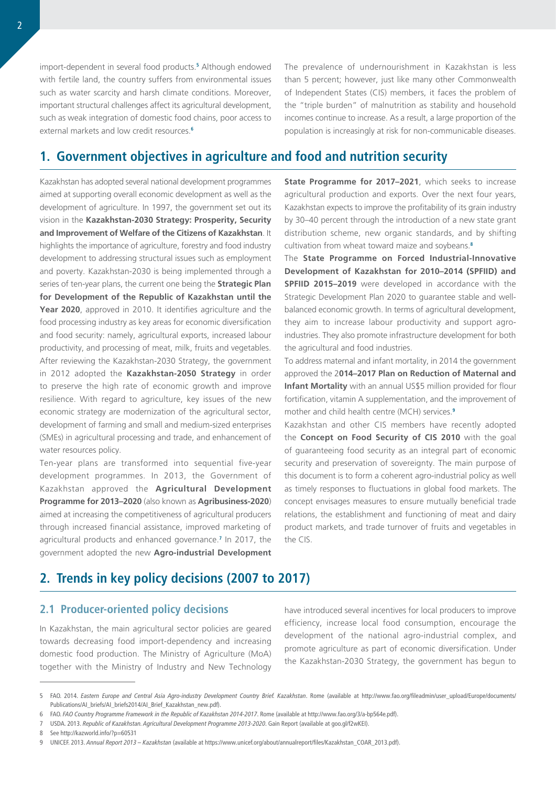import-dependent in several food products.**<sup>5</sup>** Although endowed with fertile land, the country suffers from environmental issues such as water scarcity and harsh climate conditions. Moreover, important structural challenges affect its agricultural development, such as weak integration of domestic food chains, poor access to external markets and low credit resources.**<sup>6</sup>**

The prevalence of undernourishment in Kazakhstan is less than 5 percent; however, just like many other Commonwealth of Independent States (CIS) members, it faces the problem of the "triple burden" of malnutrition as stability and household incomes continue to increase. As a result, a large proportion of the population is increasingly at risk for non-communicable diseases.

# **1. Government objectives in agriculture and food and nutrition security**

Kazakhstan has adopted several national development programmes aimed at supporting overall economic development as well as the development of agriculture. In 1997, the government set out its vision in the **Kazakhstan-2030 Strategy: Prosperity, Security and Improvement of Welfare of the Citizens of Kazakhstan**. It highlights the importance of agriculture, forestry and food industry development to addressing structural issues such as employment and poverty. Kazakhstan-2030 is being implemented through a series of ten-year plans, the current one being the **Strategic Plan for Development of the Republic of Kazakhstan until the Year 2020**, approved in 2010. It identifies agriculture and the food processing industry as key areas for economic diversification and food security: namely, agricultural exports, increased labour productivity, and processing of meat, milk, fruits and vegetables. After reviewing the Kazakhstan-2030 Strategy, the government in 2012 adopted the **Kazakhstan-2050 Strategy** in order to preserve the high rate of economic growth and improve resilience. With regard to agriculture, key issues of the new economic strategy are modernization of the agricultural sector, development of farming and small and medium-sized enterprises (SMEs) in agricultural processing and trade, and enhancement of water resources policy.

Ten-year plans are transformed into sequential five-year development programmes. In 2013, the Government of Kazakhstan approved the **Agricultural Development Programme for 2013–2020** (also known as **Agribusiness-2020**) aimed at increasing the competitiveness of agricultural producers through increased financial assistance, improved marketing of agricultural products and enhanced governance.**<sup>7</sup>** In 2017, the government adopted the new **Agro-industrial Development** 

**State Programme for 2017–2021**, which seeks to increase agricultural production and exports. Over the next four years, Kazakhstan expects to improve the profitability of its grain industry by 30–40 percent through the introduction of a new state grant distribution scheme, new organic standards, and by shifting cultivation from wheat toward maize and soybeans.**<sup>8</sup>**

The **State Programme on Forced Industrial-Innovative Development of Kazakhstan for 2010–2014 (SPFIID) and SPFIID 2015–2019** were developed in accordance with the Strategic Development Plan 2020 to guarantee stable and wellbalanced economic growth. In terms of agricultural development, they aim to increase labour productivity and support agroindustries. They also promote infrastructure development for both the agricultural and food industries.

To address maternal and infant mortality, in 2014 the government approved the 2**014–2017 Plan on Reduction of Maternal and Infant Mortality** with an annual US\$5 million provided for flour fortification, vitamin A supplementation, and the improvement of mother and child health centre (MCH) services.**<sup>9</sup>**

Kazakhstan and other CIS members have recently adopted the **Concept on Food Security of CIS 2010** with the goal of guaranteeing food security as an integral part of economic security and preservation of sovereignty. The main purpose of this document is to form a coherent agro-industrial policy as well as timely responses to fluctuations in global food markets. The concept envisages measures to ensure mutually beneficial trade relations, the establishment and functioning of meat and dairy product markets, and trade turnover of fruits and vegetables in the CIS.

# **2. Trends in key policy decisions (2007 to 2017)**

## **2.1 Producer-oriented policy decisions**

In Kazakhstan, the main agricultural sector policies are geared towards decreasing food import-dependency and increasing domestic food production. The Ministry of Agriculture (MoA) together with the Ministry of Industry and New Technology

have introduced several incentives for local producers to improve efficiency, increase local food consumption, encourage the development of the national agro-industrial complex, and promote agriculture as part of economic diversification. Under the Kazakhstan-2030 Strategy, the government has begun to

<sup>5</sup> FAO. 2014. *Eastern Europe and Central Asia Agro-industry Development Country Brief. Kazakhstan*. Rome (available at [http://www.fao.org/fileadmin/user\\_upload/Europe/documents/](http://www.fao.org/fileadmin/user_upload/Europe/documents/Publications/AI_briefs/AI_briefs2014/AI_Brief_Kazakhstan_new.pdf) [Publications/AI\\_briefs/AI\\_briefs2014/AI\\_Brief\\_Kazakhstan\\_new.pdf](http://www.fao.org/fileadmin/user_upload/Europe/documents/Publications/AI_briefs/AI_briefs2014/AI_Brief_Kazakhstan_new.pdf)).

<sup>6</sup> FAO. *FAO Country Programme Framework in the Republic of Kazakhstan 2014-2017*. Rome (available at <http://www.fao.org/3/a-bp564e.pdf>).

<sup>7</sup> USDA. 2013. *Republic of Kazakhstan. Agricultural Development Programme 2013-2020*. Gain Report (available at [goo.gl/f2wKEI\)](http://http://www.fao.org/3/a-bp564e.pdf).

<sup>8</sup> See <http://kazworld.info/?p=60531>

<sup>9</sup> UNICEF. 2013. *Annual Report 2013 – Kazakhstan* (available at [https://www.unicef.org/about/annualreport/files/Kazakhstan\\_COAR\\_2013.pdf](https://www.unicef.org/about/annualreport/files/Kazakhstan_COAR_2013.pdf)).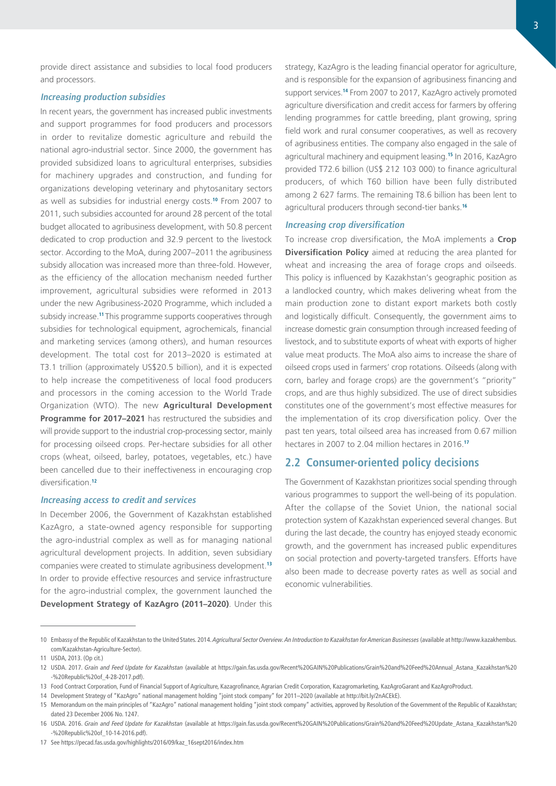provide direct assistance and subsidies to local food producers and processors.

#### **Increasing production subsidies**

In recent years, the government has increased public investments and support programmes for food producers and processors in order to revitalize domestic agriculture and rebuild the national agro-industrial sector. Since 2000, the government has provided subsidized loans to agricultural enterprises, subsidies for machinery upgrades and construction, and funding for organizations developing veterinary and phytosanitary sectors as well as subsidies for industrial energy costs.**<sup>10</sup>** From 2007 to 2011, such subsidies accounted for around 28 percent of the total budget allocated to agribusiness development, with 50.8 percent dedicated to crop production and 32.9 percent to the livestock sector. According to the MoA, during 2007–2011 the agribusiness subsidy allocation was increased more than three-fold. However, as the efficiency of the allocation mechanism needed further improvement, agricultural subsidies were reformed in 2013 under the new Agribusiness-2020 Programme, which included a subsidy increase.**<sup>11</sup>**This programme supports cooperatives through subsidies for technological equipment, agrochemicals, financial and marketing services (among others), and human resources development. The total cost for 2013–2020 is estimated at T3.1 trillion (approximately US\$20.5 billion), and it is expected to help increase the competitiveness of local food producers and processors in the coming accession to the World Trade Organization (WTO). The new **Agricultural Development Programme for 2017–2021** has restructured the subsidies and will provide support to the industrial crop-processing sector, mainly for processing oilseed crops. Per-hectare subsidies for all other crops (wheat, oilseed, barley, potatoes, vegetables, etc.) have been cancelled due to their ineffectiveness in encouraging crop diversification.**<sup>12</sup>**

#### **Increasing access to credit and services**

In December 2006, the Government of Kazakhstan established KazAgro, a state-owned agency responsible for supporting the agro-industrial complex as well as for managing national agricultural development projects. In addition, seven subsidiary companies were created to stimulate agribusiness development.**<sup>13</sup>** In order to provide effective resources and service infrastructure for the agro-industrial complex, the government launched the **Development Strategy of KazAgro (2011–2020)**. Under this

strategy, KazAgro is the leading financial operator for agriculture, and is responsible for the expansion of agribusiness financing and support services.**<sup>14</sup>** From 2007 to 2017, KazAgro actively promoted agriculture diversification and credit access for farmers by offering lending programmes for cattle breeding, plant growing, spring field work and rural consumer cooperatives, as well as recovery of agribusiness entities. The company also engaged in the sale of agricultural machinery and equipment leasing.**<sup>15</sup>** In 2016, KazAgro provided T72.6 billion (US\$ 212 103 000) to finance agricultural producers, of which T60 billion have been fully distributed among 2 627 farms. The remaining T8.6 billion has been lent to agricultural producers through second-tier banks.**<sup>16</sup>**

#### **Increasing crop diversification**

To increase crop diversification, the MoA implements a **Crop Diversification Policy** aimed at reducing the area planted for wheat and increasing the area of forage crops and oilseeds. This policy is influenced by Kazakhstan's geographic position as a landlocked country, which makes delivering wheat from the main production zone to distant export markets both costly and logistically difficult. Consequently, the government aims to increase domestic grain consumption through increased feeding of livestock, and to substitute exports of wheat with exports of higher value meat products. The MoA also aims to increase the share of oilseed crops used in farmers' crop rotations. Oilseeds (along with corn, barley and forage crops) are the government's "priority" crops, and are thus highly subsidized. The use of direct subsidies constitutes one of the government's most effective measures for the implementation of its crop diversification policy. Over the past ten years, total oilseed area has increased from 0.67 million hectares in 2007 to 2.04 million hectares in 2016.**<sup>17</sup>**

## **2.2 Consumer-oriented policy decisions**

The Government of Kazakhstan prioritizes social spending through various programmes to support the well-being of its population. After the collapse of the Soviet Union, the national social protection system of Kazakhstan experienced several changes. But during the last decade, the country has enjoyed steady economic growth, and the government has increased public expenditures on social protection and poverty-targeted transfers. Efforts have also been made to decrease poverty rates as well as social and economic vulnerabilities.

<sup>10</sup> Embassy of the Republic of Kazakhstan to the United States. 2014. *Agricultural Sector Overview. An Introduction to Kazakhstan for American Businesses* (available at [http://www.kazakhembus.](http://www.kazakhembus.com/Kazakhstan-Agriculture-Sector) [com/Kazakhstan-Agriculture-Sector](http://www.kazakhembus.com/Kazakhstan-Agriculture-Sector)).

<sup>11</sup> USDA, 2013. (Op cit.)

<sup>12</sup> USDA. 2017. *Grain and Feed Update for Kazakhstan* (available at [https://gain.fas.usda.gov/Recent%20GAIN%20Publications/Grain%20and%20Feed%20Annual\\_Astana\\_Kazakhstan%20](https://gain.fas.usda.gov/Recent%20GAIN%20Publications/Grain%20and%20Feed%20Annual_Astana_Kazakhstan%20-%20Republic%20of_4-28-2017.pdf) [-%20Republic%20of\\_4-28-2017.pdf](https://gain.fas.usda.gov/Recent%20GAIN%20Publications/Grain%20and%20Feed%20Annual_Astana_Kazakhstan%20-%20Republic%20of_4-28-2017.pdf)).

<sup>13</sup> Food Contract Corporation, Fund of Financial Support of Agriculture, Kazagrofinance, Agrarian Credit Corporation, Kazagromarketing, KazAgroGarant and KazAgroProduct.

<sup>14</sup> Development Strategy of "KazAgro" national management holding "joint stock company" for 2011–2020 (available at<http://bit.ly/2nACEkE>).

<sup>15</sup> Memorandum on the main principles of "KazAgro" national management holding "joint stock company" activities, approved by Resolution of the Government of the Republic of Kazakhstan; dated 23 December 2006 No. 1247.

<sup>16</sup> USDA. 2016. *Grain and Feed Update for Kazakhstan* (available at [https://gain.fas.usda.gov/Recent%20GAIN%20Publications/Grain%20and%20Feed%20Update\\_Astana\\_Kazakhstan%20](https://gain.fas.usda.gov/Recent%20GAIN%20Publications/Grain%20and%20Feed%20Update_Astana_Kazakhstan%20-%20Republic%20of_10-14-2016.pdf) [-%20Republic%20of\\_10-14-2016.pdf](https://gain.fas.usda.gov/Recent%20GAIN%20Publications/Grain%20and%20Feed%20Update_Astana_Kazakhstan%20-%20Republic%20of_10-14-2016.pdf)).

<sup>17</sup> See [https://pecad.fas.usda.gov/highlights/2016/09/kaz\\_16sept2016/index.htm](https://pecad.fas.usda.gov/highlights/2016/09/kaz_16sept2016/index.htm)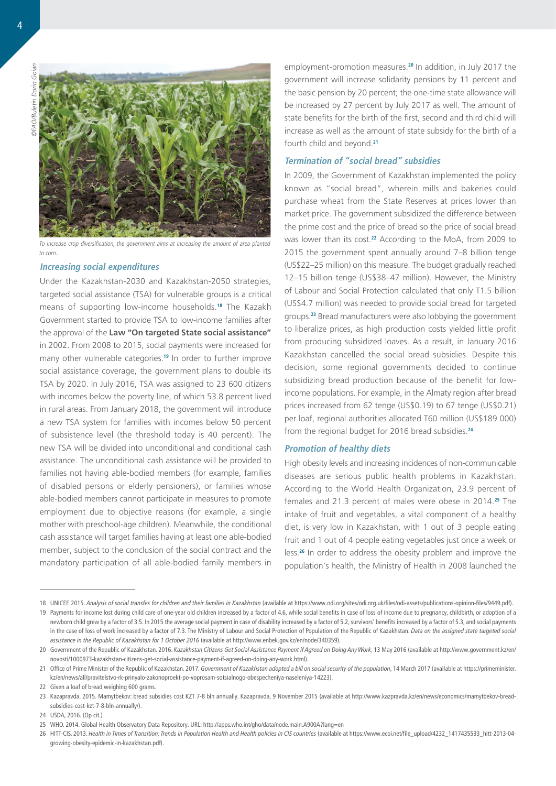©FAO/Buletin Dorin Goian à **GEAO/Ruletin** 



To increase crop diversification, the government aims at increasing the amount of area planted to corn.

#### **Increasing social expenditures**

Under the Kazakhstan-2030 and Kazakhstan-2050 strategies, targeted social assistance (TSA) for vulnerable groups is a critical means of supporting low-income households.**<sup>18</sup>** The Kazakh Government started to provide TSA to low-income families after the approval of the **Law "On targeted State social assistance"** in 2002. From 2008 to 2015, social payments were increased for many other vulnerable categories.**<sup>19</sup>** In order to further improve social assistance coverage, the government plans to double its TSA by 2020. In July 2016, TSA was assigned to 23 600 citizens with incomes below the poverty line, of which 53.8 percent lived in rural areas. From January 2018, the government will introduce a new TSA system for families with incomes below 50 percent of subsistence level (the threshold today is 40 percent). The new TSA will be divided into unconditional and conditional cash assistance. The unconditional cash assistance will be provided to families not having able-bodied members (for example, families of disabled persons or elderly pensioners), or families whose able-bodied members cannot participate in measures to promote employment due to objective reasons (for example, a single mother with preschool-age children). Meanwhile, the conditional cash assistance will target families having at least one able-bodied member, subject to the conclusion of the social contract and the mandatory participation of all able-bodied family members in

employment-promotion measures.**<sup>20</sup>** In addition, in July 2017 the government will increase solidarity pensions by 11 percent and the basic pension by 20 percent; the one-time state allowance will be increased by 27 percent by July 2017 as well. The amount of state benefits for the birth of the first, second and third child will increase as well as the amount of state subsidy for the birth of a fourth child and beyond.**<sup>21</sup>**

### **Termination of "social bread" subsidies**

In 2009, the Government of Kazakhstan implemented the policy known as "social bread", wherein mills and bakeries could purchase wheat from the State Reserves at prices lower than market price. The government subsidized the difference between the prime cost and the price of bread so the price of social bread was lower than its cost.**<sup>22</sup>** According to the MoA, from 2009 to 2015 the government spent annually around 7–8 billion tenge (US\$22–25 million) on this measure. The budget gradually reached 12–15 billion tenge (US\$38–47 million). However, the Ministry of Labour and Social Protection calculated that only T1.5 billion (US\$4.7 million) was needed to provide social bread for targeted groups.**<sup>23</sup>** Bread manufacturers were also lobbying the government to liberalize prices, as high production costs yielded little profit from producing subsidized loaves. As a result, in January 2016 Kazakhstan cancelled the social bread subsidies. Despite this decision, some regional governments decided to continue subsidizing bread production because of the benefit for lowincome populations. For example, in the Almaty region after bread prices increased from 62 tenge (US\$0.19) to 67 tenge (US\$0.21) per loaf, regional authorities allocated T60 million (US\$189 000) from the regional budget for 2016 bread subsidies.**<sup>24</sup>**

### **Promotion of healthy diets**

High obesity levels and increasing incidences of non-communicable diseases are serious public health problems in Kazakhstan. According to the World Health Organization, 23.9 percent of females and 21.3 percent of males were obese in 2014.**<sup>25</sup>** The intake of fruit and vegetables, a vital component of a healthy diet, is very low in Kazakhstan, with 1 out of 3 people eating fruit and 1 out of 4 people eating vegetables just once a week or less.**<sup>26</sup>** In order to address the obesity problem and improve the population's health, the Ministry of Health in 2008 launched the

<sup>18</sup> UNICEF. 2015. *Analysis of social transfes for children and their families in Kazakhstan* (available at <https://www.odi.org/sites/odi.org.uk/files/odi-assets/publications-opinion-files/9449.pdf>).

<sup>19</sup> Payments for income lost during child care of one-year old children increased by a factor of 4.6, while social benefits in case of loss of income due to pregnancy, childbirth, or adoption of a newborn child grew by a factor of 3.5. In 2015 the average social payment in case of disability increased by a factor of 5.2, survivors' benefits increased by a factor of 5.3, and social payments in the case of loss of work increased by a factor of 7.3. The Ministry of Labour and Social Protection of Population of the Republic of Kazakhstan. *Data on the assigned state targeted social assistance in the Republic of Kazakhstan for 1 October 2016* (available at<http://www.enbek.gov.kz/en/node/340359>).

<sup>20</sup> Government of the Republic of Kazakhstan. 2016. *Kazakhstan Citizens Get Social Assistance Payment if Agreed on Doing Any Work*, 13 May 2016 (available at [http://www.government.kz/en/](http://www.government.kz/en/novosti/1000973-kazakhstan-citizens-get-social-assistance-payment-if-agreed-on-doing-any-work.html) [novosti/1000973-kazakhstan-citizens-get-social-assistance-payment-if-agreed-on-doing-any-work.html\)](http://www.government.kz/en/novosti/1000973-kazakhstan-citizens-get-social-assistance-payment-if-agreed-on-doing-any-work.html).

<sup>21</sup> Office of Prime Minister of the Republic of Kazakhstan. 2017. Government of Kazakhstan adopted a bill on social security of the population, 14 March 2017 (available at [https://primeminister.](https://primeminister.kz/en/news/all/pravitelstvo-rk-prinyalo-zakonoproekt-po-voprosam-sotsialnogo-obespecheniya-naseleniya-14223) [kz/en/news/all/pravitelstvo-rk-prinyalo-zakonoproekt-po-voprosam-sotsialnogo-obespecheniya-naseleniya-14223](https://primeminister.kz/en/news/all/pravitelstvo-rk-prinyalo-zakonoproekt-po-voprosam-sotsialnogo-obespecheniya-naseleniya-14223)).

<sup>22</sup> Given a loaf of bread weighing 600 grams.

<sup>23</sup> Kazapravda. 2015. Mamytbekov: bread subsidies cost KZT 7-8 bln annually. Kazapravda, 9 November 2015 (available at [http://www.kazpravda.kz/en/news/economics/mamytbekov-bread](http://www.kazpravda.kz/en/news/economics/mamytbekov-bread-subsidies-cost-kzt-7-8-bln-annually/)[subsidies-cost-kzt-7-8-bln-annually/](http://www.kazpravda.kz/en/news/economics/mamytbekov-bread-subsidies-cost-kzt-7-8-bln-annually/)).

<sup>24</sup> USDA, 2016. (Op cit.)

<sup>25</sup> WHO. 2014. Global Health Observatory Data Repository. URL: <http://apps.who.int/gho/data/node.main.A900A?lang=en>

<sup>26</sup> HITT-CIS. 2013. *Health in Times of Transition: Trends in Population Health and Health policies in CIS countries* (available at [https://www.ecoi.net/file\\_upload/4232\\_1417435533\\_hitt-2013-04](https://www.ecoi.net/file_upload/4232_1417435533_hitt-2013-04-growing-obesity-epidemic-in-kazakhstan.pdf) [growing-obesity-epidemic-in-kazakhstan.pdf](https://www.ecoi.net/file_upload/4232_1417435533_hitt-2013-04-growing-obesity-epidemic-in-kazakhstan.pdf)).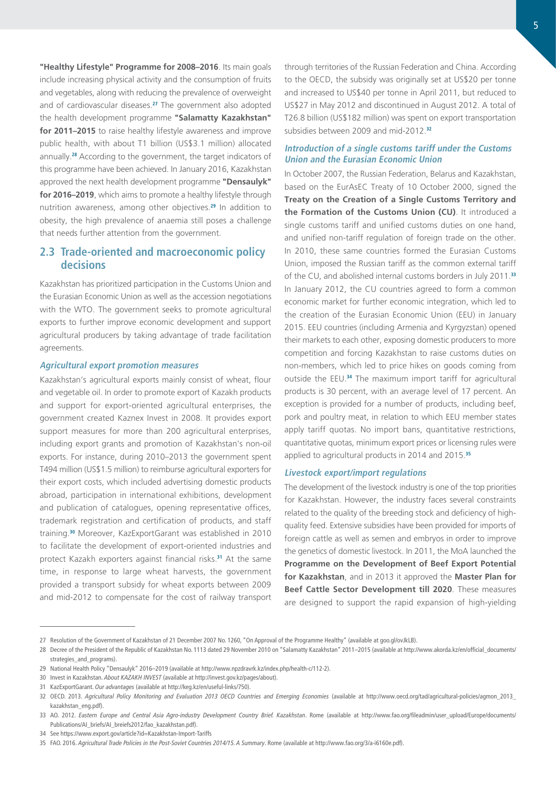**"Healthy Lifestyle" Programme for 2008–2016**. Its main goals include increasing physical activity and the consumption of fruits and vegetables, along with reducing the prevalence of overweight and of cardiovascular diseases.**<sup>27</sup>** The government also adopted the health development programme **"Salamatty Kazakhstan" for 2011–2015** to raise healthy lifestyle awareness and improve public health, with about T1 billion (US\$3.1 million) allocated annually.**<sup>28</sup>** According to the government, the target indicators of this programme have been achieved. In January 2016, Kazakhstan approved the next health development programme **"Densaulyk" for 2016–2019**, which aims to promote a healthy lifestyle through nutrition awareness, among other objectives.**<sup>29</sup>** In addition to obesity, the high prevalence of anaemia still poses a challenge that needs further attention from the government.

## **2.3 Trade-oriented and macroeconomic policy decisions**

Kazakhstan has prioritized participation in the Customs Union and the Eurasian Economic Union as well as the accession negotiations with the WTO. The government seeks to promote agricultural exports to further improve economic development and support agricultural producers by taking advantage of trade facilitation agreements.

### **Agricultural export promotion measures**

Kazakhstan's agricultural exports mainly consist of wheat, flour and vegetable oil. In order to promote export of Kazakh products and support for export-oriented agricultural enterprises, the government created Kaznex Invest in 2008. It provides export support measures for more than 200 agricultural enterprises, including export grants and promotion of Kazakhstan's non-oil exports. For instance, during 2010–2013 the government spent T494 million (US\$1.5 million) to reimburse agricultural exporters for their export costs, which included advertising domestic products abroad, participation in international exhibitions, development and publication of catalogues, opening representative offices, trademark registration and certification of products, and staff training.**<sup>30</sup>** Moreover, KazExportGarant was established in 2010 to facilitate the development of export-oriented industries and protect Kazakh exporters against financial risks.**<sup>31</sup>** At the same time, in response to large wheat harvests, the government provided a transport subsidy for wheat exports between 2009 and mid-2012 to compensate for the cost of railway transport

through territories of the Russian Federation and China. According to the OECD, the subsidy was originally set at US\$20 per tonne and increased to US\$40 per tonne in April 2011, but reduced to US\$27 in May 2012 and discontinued in August 2012. A total of T26.8 billion (US\$182 million) was spent on export transportation subsidies between 2009 and mid-2012.**<sup>32</sup>**

### **Introduction of a single customs tariff under the Customs Union and the Eurasian Economic Union**

In October 2007, the Russian Federation, Belarus and Kazakhstan, based on the EurAsEC Treaty of 10 October 2000, signed the **Treaty on the Creation of a Single Customs Territory and the Formation of the Customs Union (CU)**. It introduced a single customs tariff and unified customs duties on one hand, and unified non-tariff regulation of foreign trade on the other. In 2010, these same countries formed the Eurasian Customs Union, imposed the Russian tariff as the common external tariff of the CU, and abolished internal customs borders in July 2011.**<sup>33</sup>** In January 2012, the CU countries agreed to form a common economic market for further economic integration, which led to the creation of the Eurasian Economic Union (EEU) in January 2015. EEU countries (including Armenia and Kyrgyzstan) opened their markets to each other, exposing domestic producers to more competition and forcing Kazakhstan to raise customs duties on non-members, which led to price hikes on goods coming from outside the EEU.**<sup>34</sup>** The maximum import tariff for agricultural products is 30 percent, with an average level of 17 percent. An exception is provided for a number of products, including beef, pork and poultry meat, in relation to which EEU member states apply tariff quotas. No import bans, quantitative restrictions, quantitative quotas, minimum export prices or licensing rules were applied to agricultural products in 2014 and 2015.**<sup>35</sup>**

#### **Livestock export/import regulations**

The development of the livestock industry is one of the top priorities for Kazakhstan. However, the industry faces several constraints related to the quality of the breeding stock and deficiency of highquality feed. Extensive subsidies have been provided for imports of foreign cattle as well as semen and embryos in order to improve the genetics of domestic livestock. In 2011, the MoA launched the **Programme on the Development of Beef Export Potential for Kazakhstan**, and in 2013 it approved the **Master Plan for Beef Cattle Sector Development till 2020**. These measures are designed to support the rapid expansion of high-yielding

<sup>27</sup> Resolution of the Government of Kazakhstan of 21 December 2007 No. 1260, "On Approval of the Programme Healthy" (available at [goo.gl/ovJkLB\)](goo.gl/ovJkLB).

<sup>28</sup> Decree of the President of the Republic of Kazakhstan No. 1113 dated 29 November 2010 on "Salamatty Kazakhstan" 2011-2015 (available at [http://www.akorda.kz/en/official\\_documents/](http://www.akorda.kz/en/official_documents/strategies_and_programs) [strategies\\_and\\_programs\)](http://www.akorda.kz/en/official_documents/strategies_and_programs).

<sup>29</sup> National Health Policy "Densaulyk" 2016–2019 (available at [http://www.npzdravrk.kz/index.php/health-c/112-2\)](http://www.npzdravrk.kz/index.php/health-c/112-2).

<sup>30</sup> Invest in Kazakhstan. *About KAZAKH INVEST* (available at [http://invest.gov.kz/pages/about\)](http://invest.gov.kz/pages/about).

<sup>31</sup> KazExportGarant. *Our advantages* (available at <http://keg.kz/en/useful-links/750>).

<sup>32</sup> OECD. 2013. *Agricultural Policy Monitoring and Evaluation 2013 OECD Countries and Emerging Economies* (available at [http://www.oecd.org/tad/agricultural-policies/agmon\\_2013\\_](http://www.oecd.org/tad/agricultural-policies/agmon_2013_kazakhstan_eng.pdf) [kazakhstan\\_eng.pdf\)](http://www.oecd.org/tad/agricultural-policies/agmon_2013_kazakhstan_eng.pdf).

<sup>33</sup> AO. 2012. *Eastern Europe and Central Asia Agro-industry Development Country Brief. Kazakhstan*. Rome (available at [http://www.fao.org/fileadmin/user\\_upload/Europe/documents/](http://www.fao.org/fileadmin/user_upload/Europe/documents/Publications/AI_briefs/AI_breiefs2012/fao_kazakhstan.pdf) [Publications/AI\\_briefs/AI\\_breiefs2012/fao\\_kazakhstan.pdf](http://www.fao.org/fileadmin/user_upload/Europe/documents/Publications/AI_briefs/AI_breiefs2012/fao_kazakhstan.pdf)).

<sup>34</sup> See <https://www.export.gov/article?id=Kazakhstan-Import-Tariffs>

<sup>35</sup> FAO. 2016. *Agricultural Trade Policies in the Post-Soviet Countries 2014/15. A Summary*. Rome (available at <http://www.fao.org/3/a-i6160e.pdf>).